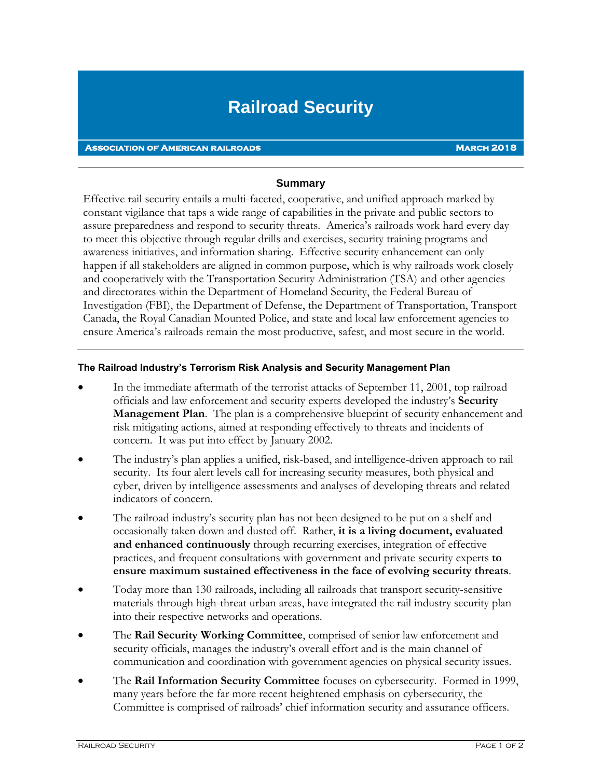## **Railroad Security**

## **Association of American railroads March 2018**

## **Summary**

Effective rail security entails a multi-faceted, cooperative, and unified approach marked by constant vigilance that taps a wide range of capabilities in the private and public sectors to assure preparedness and respond to security threats. America's railroads work hard every day to meet this objective through regular drills and exercises, security training programs and awareness initiatives, and information sharing. Effective security enhancement can only happen if all stakeholders are aligned in common purpose, which is why railroads work closely and cooperatively with the Transportation Security Administration (TSA) and other agencies and directorates within the Department of Homeland Security, the Federal Bureau of Investigation (FBI), the Department of Defense, the Department of Transportation, Transport Canada, the Royal Canadian Mounted Police, and state and local law enforcement agencies to ensure America's railroads remain the most productive, safest, and most secure in the world.

## **The Railroad Industry's Terrorism Risk Analysis and Security Management Plan**

- In the immediate aftermath of the terrorist attacks of September 11, 2001, top railroad officials and law enforcement and security experts developed the industry's **Security Management Plan**. The plan is a comprehensive blueprint of security enhancement and risk mitigating actions, aimed at responding effectively to threats and incidents of concern. It was put into effect by January 2002.
- The industry's plan applies a unified, risk-based, and intelligence-driven approach to rail security. Its four alert levels call for increasing security measures, both physical and cyber, driven by intelligence assessments and analyses of developing threats and related indicators of concern.
- The railroad industry's security plan has not been designed to be put on a shelf and occasionally taken down and dusted off. Rather, **it is a living document, evaluated and enhanced continuously** through recurring exercises, integration of effective practices, and frequent consultations with government and private security experts **to ensure maximum sustained effectiveness in the face of evolving security threats**.
- Today more than 130 railroads, including all railroads that transport security-sensitive materials through high-threat urban areas, have integrated the rail industry security plan into their respective networks and operations.
- The **Rail Security Working Committee**, comprised of senior law enforcement and security officials, manages the industry's overall effort and is the main channel of communication and coordination with government agencies on physical security issues.
- The **Rail Information Security Committee** focuses on cybersecurity. Formed in 1999, many years before the far more recent heightened emphasis on cybersecurity, the Committee is comprised of railroads' chief information security and assurance officers.